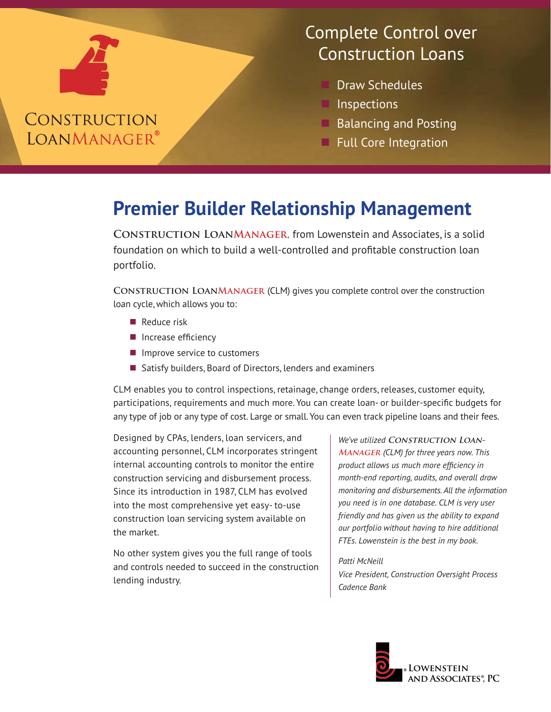### CONSTRUCTION **LOANMANAGER®**

#### Complete Control over Construction Loans

- Draw Schedules
- **Inspections**
- Balancing and Posting
- **Full Core Integration**

# **Premier Builder Relationship Management**

**Construction LoanManager**, from Lowenstein and Associates, is a solid foundation on which to build a well-controlled and profitable construction loan portfolio.

**Construction LoanManager** (CLM) gives you complete control over the construction loan cycle, which allows you to:

- $\blacksquare$  Reduce risk
- $\blacksquare$  Increase efficiency
- $\blacksquare$  Improve service to customers
- $\blacksquare$  Satisfy builders, Board of Directors, lenders and examiners

CLM enables you to control inspections, retainage, change orders, releases, customer equity, participations, requirements and much more. You can create loan- or builder-specific budgets for any type of job or any type of cost. Large or small. You can even track pipeline loans and their fees.

Designed by CPAs, lenders, loan servicers, and accounting personnel, CLM incorporates stringent internal accounting controls to monitor the entire construction servicing and disbursement process. Since its introduction in 1987, CLM has evolved into the most comprehensive yet easy- to-use construction loan servicing system available on the market.

No other system gives you the full range of tools and controls needed to succeed in the construction lending industry.

We've utilized CONSTRUCTION LOAN-**Manager** *(CLM) for three years now. This product allows us much more efficiency in month-end reporting, audits, and overall draw monitoring and disbursements. All the information you need is in one database. CLM is very user friendly and has given us the ability to expand our portfolio without having to hire additional FTEs. Lowenstein is the best in my book.*

#### *Patti McNeill*

*Vice President, Construction Oversight Process Cadence Bank*